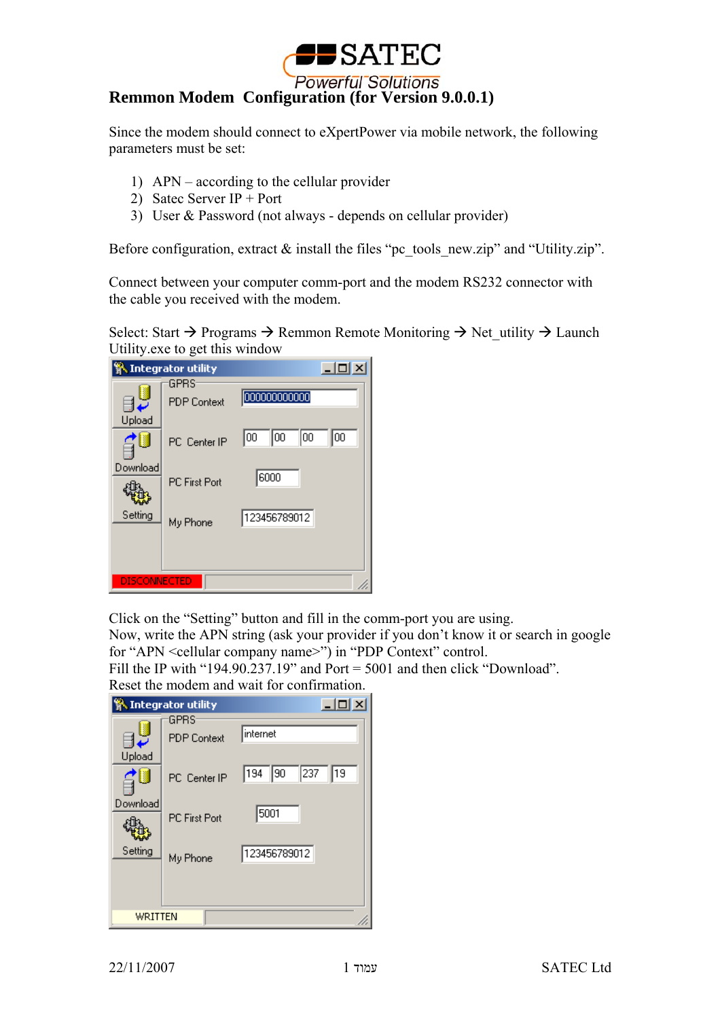

Since the modem should connect to eXpertPower via mobile network, the following parameters must be set:

- 1) APN according to the cellular provider
- 2) Satec Server IP + Port
- 3) User & Password (not always depends on cellular provider)

Before configuration, extract  $\&$  install the files "pc\_tools\_new.zip" and "Utility.zip".

Connect between your computer comm-port and the modem RS232 connector with the cable you received with the modem.

Select: Start  $\rightarrow$  Programs  $\rightarrow$  Remmon Remote Monitoring  $\rightarrow$  Net utility  $\rightarrow$  Launch Utility.exe to get this window

| <b>W.</b> Integrator utility |                            | $\Box$                   |
|------------------------------|----------------------------|--------------------------|
| Upload                       | GPRS<br><b>PDP</b> Context | 000000000000             |
| Download                     | PC Center IP               | 100<br>100<br>100<br>100 |
|                              | <b>PC First Port</b>       | 6000                     |
| Setting                      | My Phone                   | 123456789012             |
| <b>DISCONNECTED</b>          |                            |                          |

Click on the "Setting" button and fill in the comm-port you are using.

Now, write the APN string (ask your provider if you don't know it or search in google for "APN <cellular company name>") in "PDP Context" control.

Fill the IP with "194.90.237.19" and Port = 5001 and then click "Download". Reset the modem and wait for confirmation.

|                                           | <b>系 Integrator utility</b>                                                           | $ \Box$ $\times$                                            |  |
|-------------------------------------------|---------------------------------------------------------------------------------------|-------------------------------------------------------------|--|
| <b>D</b><br>Upload<br>Download<br>Setting | <b>GPRS</b><br><b>PDP</b> Context<br>PC Center IP<br><b>PC First Port</b><br>My Phone | internet<br>237<br>194<br> 90<br>19<br>5001<br>123456789012 |  |
| WRITTEN                                   |                                                                                       |                                                             |  |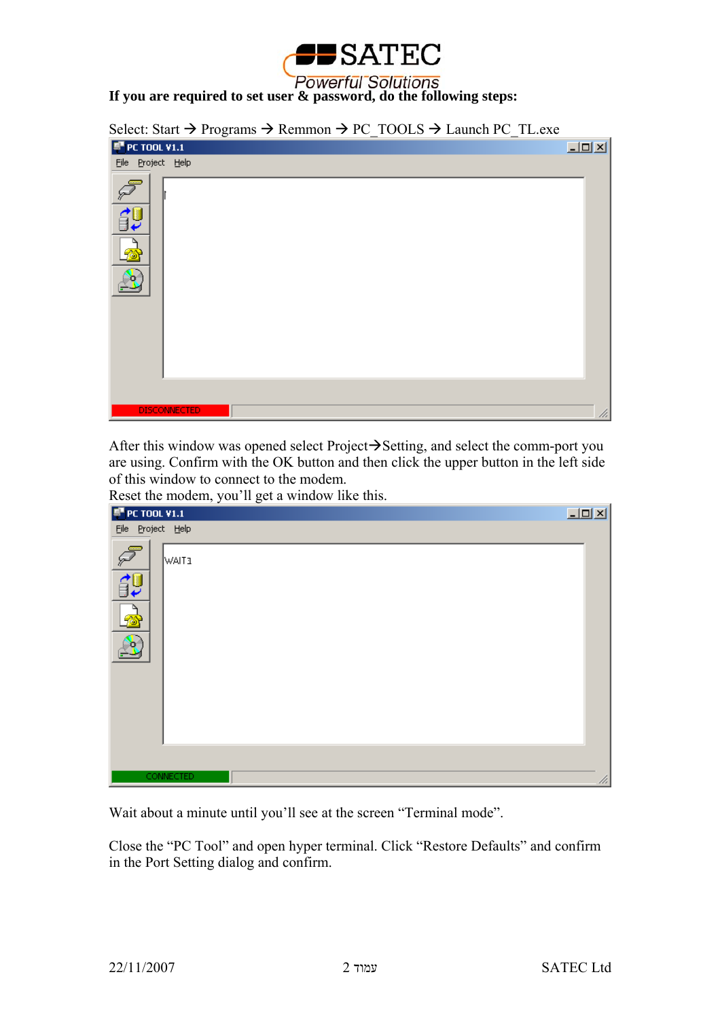

Select: Start  $\rightarrow$  Programs  $\rightarrow$  Remmon  $\rightarrow$  PC\_TOOLS  $\rightarrow$  Launch PC\_TL.exe

| <b>F</b> PC TOOL V1.1 | $\Box$ |
|-----------------------|--------|
| File Project Help     |        |
| $\sqrt{2}$<br>領<br>ß  |        |
| <b>DISCONNECTED</b>   | 48     |

After this window was opened select Project $\rightarrow$ Setting, and select the comm-port you are using. Confirm with the OK button and then click the upper button in the left side of this window to connect to the modem.

Reset the modem, you'll get a window like this.

| <b>F</b> PC TOOL V1.1                        | $\Box$ |
|----------------------------------------------|--------|
| File Project Help                            |        |
| $\sqrt{2}$<br><b>WAIT3</b><br><b>SP</b><br>Ø |        |
| <b>CONNECTED</b>                             | //.    |

Wait about a minute until you'll see at the screen "Terminal mode".

Close the "PC Tool" and open hyper terminal. Click "Restore Defaults" and confirm in the Port Setting dialog and confirm.